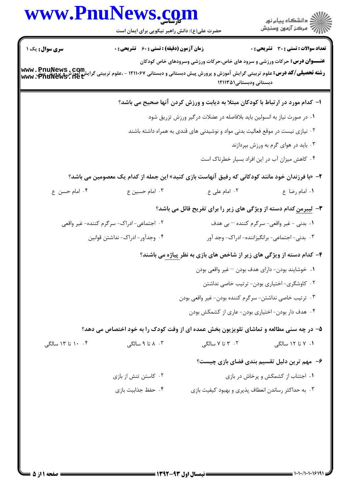|                        | www.PnuNews.com<br>حضرت علی(ع): دانش راهبر نیکویی برای ایمان است |                                                                                                                                                                                                                                                                                 |                                                |
|------------------------|------------------------------------------------------------------|---------------------------------------------------------------------------------------------------------------------------------------------------------------------------------------------------------------------------------------------------------------------------------|------------------------------------------------|
| <b>سری سوال :</b> یک ۱ | <b>زمان آزمون (دقیقه) : تستی : 60 ٪ تشریحی : 0</b>               |                                                                                                                                                                                                                                                                                 | <b>تعداد سوالات : تستی : 30 ٪ تشریحی : 0</b>   |
|                        |                                                                  | <b>عنـــوان درس:</b> حرکات ورزشی و سرود های خاص،حرکات ورزشی وسرودهای خاص کودکان<br><b>رشته تحصیلی/کد درس:</b> علوم تربیتی گرایش آموزش و پرورش پیش دبستانی و دبستانی ۱۲۱۱۰۶۷ - ،علوم تربیتی گرایش آموزش <b>و WWW . PnuNews</b><br>www . PnuNews . Het<br>دبستانی ودبستانی۱۲۱۱۳۵۱ |                                                |
|                        |                                                                  | ۱- کدام مورد در ارتباط با کودکان مبتلا به دیابت و ورزش کردن آنها صحیح می باشد؟                                                                                                                                                                                                  |                                                |
|                        |                                                                  | ۰۱ در صورت نیاز به انسولین باید بلافاصله در عضلات درگیر ورزش تزریق شود                                                                                                                                                                                                          |                                                |
|                        |                                                                  | <sup>۲</sup> ۰ نیازی نیست در موقع فعالیت بدنی مواد و نوشیدنی های قندی به همراه داشته باشند                                                                                                                                                                                      |                                                |
|                        |                                                                  |                                                                                                                                                                                                                                                                                 | ۰۳ باید در هوای گرم به ورزش بپردازند           |
|                        |                                                                  |                                                                                                                                                                                                                                                                                 | ۰۴ کاهش میزان آب در این افراد بسیار خطرناک است |
|                        |                                                                  | ۲- «با فرزندان خود مانند کودکانی که رفیق آنهاست بازی کنید» این جمله از کدام یک معصومین می باشد؟                                                                                                                                                                                 |                                                |
| ۰۴ امام حسن ع          | ۰۳ امام حسین ع                                                   | ٠٢ امام على ع                                                                                                                                                                                                                                                                   | ٠١ امام رضا ع                                  |
|                        |                                                                  | <b>۳</b> - لیبرمن کدام دسته از ویژگی های زیر را برای تفریح قائل می باشد؟                                                                                                                                                                                                        |                                                |
|                        | ۰۲ اجتماعی-ادراک- سرگرم کننده- غیر واقعی                         |                                                                                                                                                                                                                                                                                 | ١. بدني - غير واقعي- سرگرم كننده – بي هدف      |
|                        | ۰۴ وجدآور-ادراک-نداشتن قوانین                                    |                                                                                                                                                                                                                                                                                 | ۰۳ بدنی- اجتماعی- برانگیزاننده- ادراک- وجد آور |
|                        |                                                                  | ۴- کدام دسته از ویژگی های زیر از شاخص های بازی به نظر <u>پیاژه می</u> باشند؟                                                                                                                                                                                                    |                                                |
|                        |                                                                  | ٠١ خوشايند بودن- داراي هدف بودن – غير واقعي بودن                                                                                                                                                                                                                                |                                                |
|                        |                                                                  |                                                                                                                                                                                                                                                                                 | ۰۲ کاوشگری- اختیاری بودن- ترتیب خاصی نداشتن    |
|                        |                                                                  | ۰۳ ترتیب خاصی نداشتن- سرگرم کننده بودن- غیر واقعی بودن                                                                                                                                                                                                                          |                                                |
|                        |                                                                  | ۰۴ هدف دار بودن- اختیاری بودن- عاری از کشمکش بودن                                                                                                                                                                                                                               |                                                |
|                        |                                                                  | ۵- در چه سنی مطالعه و تماشای تلویزیون بخش عمده ای از وقت کودک را به خود اختصاص می دهد؟                                                                                                                                                                                          |                                                |
| ۰۴ تا ۱۳ سالگی         | ۰۳ ۸ تا ۹ سالگی                                                  | ۲. ۳ تا ۷ سالگی                                                                                                                                                                                                                                                                 | ۰۱ ۲ تا ۱۲ سالگی                               |
|                        |                                                                  |                                                                                                                                                                                                                                                                                 | ۶– مهم ترین دلیل تقسیم بندی فضای بازی چیست؟    |
|                        | ۰۲ کاستن تنش از بازی                                             |                                                                                                                                                                                                                                                                                 | ۰۱ اجتناب از کشمکش و پرخاش در بازی             |
|                        | ۰۴ حفظ جذابيت بازي                                               | ۰۳ به حداکثر رساندن انعطاف پذیری و بهبود کیفیت بازی                                                                                                                                                                                                                             |                                                |
|                        |                                                                  |                                                                                                                                                                                                                                                                                 |                                                |
|                        |                                                                  |                                                                                                                                                                                                                                                                                 |                                                |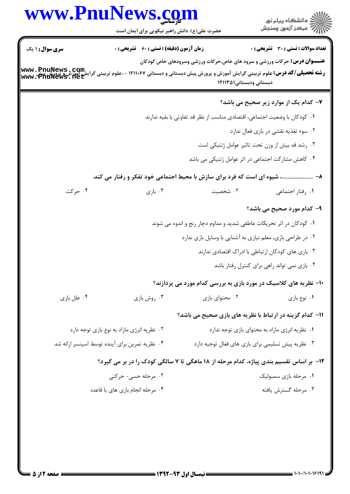|                                                | www.PnuNews.com<br>حضرت علی(ع): دانش راهبر نیکویی برای ایمان است                                        |                                                                                                            | ان دانشگاه پيام نور<br>از مرکز آزمون وسنجش         |  |
|------------------------------------------------|---------------------------------------------------------------------------------------------------------|------------------------------------------------------------------------------------------------------------|----------------------------------------------------|--|
| <b>سری سوال : ۱ یک</b>                         | زمان آزمون (دقیقه) : تستی : ۶۰٪ تشریحی : ۰                                                              |                                                                                                            | <b>تعداد سوالات : تستی : 30 ٪ تشریحی : 0</b>       |  |
| www.PnuNews.com<br>www.PnuNews.net             | <b>رشته تحصیلی/کد درس:</b> علوم تربیتی گرایش آموزش و پرورش پیش دبستانی و دبستانی ۱۲۱۱۰۶۷ - ،علوم تربیتی | <b>عنـــوان درس:</b> حرکات ورزشی و سرود های خاص،حرکات ورزشی وسرودهای خاص کودکان<br>دبستانی ودبستانی۱۲۱۱۳۵۱ |                                                    |  |
|                                                |                                                                                                         |                                                                                                            | ۷- کدام یک از موارد زیر صحیح می باشد؟              |  |
|                                                |                                                                                                         | ۰۱ کودکان با وضعیت اجتماعی، اقتصادی مناسب از نظر قد تفاوتی با بقیه ندارند                                  |                                                    |  |
|                                                |                                                                                                         |                                                                                                            | ۰۲ سوء تغذیه نقشی در بازی فعال ندارد               |  |
|                                                |                                                                                                         |                                                                                                            | ۰۳ رشد قد بیش از وزن تحت تاثیر عوامل ژنتیکی است    |  |
|                                                |                                                                                                         | ۰۴ کاهش مشارکت اجتماعی در اثر عوامل ژنتیکی می باشد                                                         |                                                    |  |
|                                                | ۸−  شیوه ای است که فرد برای سازش با محیط اجتماعی خود تفکر و رفتار می کند.                               |                                                                                                            |                                                    |  |
| ۰۴ حرکت                                        | ۰۳ بازی $\cdot$                                                                                         | ۰۲ شخصیت                                                                                                   | ٠١. رفتار اجتماعي                                  |  |
|                                                |                                                                                                         |                                                                                                            | ۹- کدام مورد صحیح می باشد؟                         |  |
|                                                |                                                                                                         | ۰۱ کودکان در اثر تحریکات عاطفی شدید و مداوم دچار رنج و اندوه می شوند                                       |                                                    |  |
|                                                |                                                                                                         | ۰۲ در طراحی بازی، معلم نیازی به آشنایی با وسایل بازی ندارد                                                 |                                                    |  |
|                                                |                                                                                                         |                                                                                                            | ۰۳ بازی های کودکان ارتباطی با ادراک اقتصادی ندارند |  |
|                                                |                                                                                                         |                                                                                                            | ۰۴ بازی نمی تواند راهی برای کنترل رفتار باشد       |  |
|                                                |                                                                                                         | ۱۰– نظریه های کلاسیک در مورد بازی به بررسی کدام مورد می پردازند؟                                           |                                                    |  |
| ۰۴ علل بازی                                    | ۰۳ روش بازي                                                                                             | ۰۲ محتوای بازی                                                                                             | ۰۱ نوع بازي                                        |  |
|                                                |                                                                                                         | 11- كدام گزينه در ارتباط با نظريه هاي بازي صحيح مي باشد؟                                                   |                                                    |  |
|                                                | ٠٢ نظريه انرژى مازاد به نوع بازى توجه دارد                                                              | ۰۱ نظریه انرژی مازاد به محتوای بازی توجه ندارد                                                             |                                                    |  |
| ۰۴ نظریه تمرین برای آینده توسط اسپنسر ارائه شد |                                                                                                         | ۰۳ نظریه پیش تسلیمی برای بازی های فعال توجیه دارد                                                          |                                                    |  |
|                                                | ۱۲- بر اساس تقسیم بندی پیاژه، کدام مرحله از ۱۸ ماهگی تا ۷ سالگی کودک را در بر می گیرد؟                  |                                                                                                            |                                                    |  |
| ۰۲ مرحله حسی- حرکتی                            |                                                                                                         |                                                                                                            | ۰۱ مرحله بازی سمبولیک                              |  |
| ۰۴ مرحله انجام بازی های با قاعده               |                                                                                                         |                                                                                                            | ۰۳ مرحله گسترش یافته                               |  |
|                                                |                                                                                                         |                                                                                                            |                                                    |  |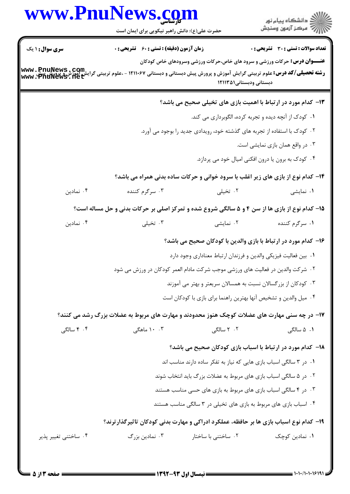|                                                    | www.PnuNews.com<br>حضرت علی(ع): دانش راهبر نیکویی برای ایمان است                                                         |                                                                                                            | ڪ دانشڪاه پيام نور<br>//> مرڪز آزمون وسنڊش   |  |  |
|----------------------------------------------------|--------------------------------------------------------------------------------------------------------------------------|------------------------------------------------------------------------------------------------------------|----------------------------------------------|--|--|
| <b>سری سوال : ۱ یک</b>                             | <b>زمان آزمون (دقیقه) : تستی : 60 ٪ تشریحی : 0</b>                                                                       |                                                                                                            | <b>تعداد سوالات : تستی : 30 ٪ تشریحی : 0</b> |  |  |
| www.PnuNews.com<br>  ایش هوزش Www.PndNews.net      | <b>رشته تحصیلی/کد درس:</b> علوم تربیتی گرایش آموزش و پرورش پیش دبستانی و دبستانی ۱۲۱۱۰۶۷ - ،علوم تربیتی گرا <sub>.</sub> | <b>عنـــوان درس:</b> حرکات ورزشی و سرود های خاص،حرکات ورزشی وسرودهای خاص کودکان<br>دبستانی ودبستانی۱۲۱۱۳۵۱ |                                              |  |  |
|                                                    |                                                                                                                          | ۱۳- کدام مورد در ارتباط با اهمیت بازی های تخیلی صحیح می باشد؟                                              |                                              |  |  |
|                                                    |                                                                                                                          | ۰۱ کودک از آنچه دیده و تجربه کرده، الگوبرداری می کند.                                                      |                                              |  |  |
|                                                    | ۰۲ کودک با استفاده از تجربه های گذشته خود، رویدادی جدید را بوجود می آورد.                                                |                                                                                                            |                                              |  |  |
|                                                    | ۰۳ در واقع همان بازی نمایشی است.                                                                                         |                                                                                                            |                                              |  |  |
| ۰۴ کودک به برون یا درون افکنی امیال خود می پردازد. |                                                                                                                          |                                                                                                            |                                              |  |  |
|                                                    | ۱۴- کدام نوع از بازی های زیر اغلب با سرود خوانی و حرکات ساده بدنی همراه می باشد؟                                         |                                                                                                            |                                              |  |  |
| ۰۴ نمادين                                          | ۰۳ سرگرم کننده                                                                                                           | ۰۲ تخیلی                                                                                                   | ۰۱ نمایشی                                    |  |  |
|                                                    | ۱۵- کدام نوع از بازی ها از سن ۴ و ۵ سالگی شروع شده و تمرکز اصلی بر حرکات بدنی و حل مساله است؟                            |                                                                                                            |                                              |  |  |
| ۰۴ نمادين                                          | ۰۳ تخیلی                                                                                                                 | ۰۲ نمایشی                                                                                                  | ۰۱ سرگرم کننده                               |  |  |
|                                                    |                                                                                                                          | ۱۶– کدام مورد در ارتباط با بازی والدین با کودکان صحیح می باشد؟                                             |                                              |  |  |
|                                                    |                                                                                                                          | ٠١ بين فعاليت فيزيكي والدين و فرزندان ارتباط معناداري وجود دارد                                            |                                              |  |  |
|                                                    | ۰۲ شرکت والدین در فعالیت های ورزشی موجب شرکت مادام العمر کودکان در ورزش می شود                                           |                                                                                                            |                                              |  |  |
|                                                    |                                                                                                                          | ۰۳ کودکان از بزرگسالان نسبت به همسالان سریعتر و بهتر می آموزند                                             |                                              |  |  |
|                                                    |                                                                                                                          | ۰۴ میل والدین و تشخیص آنها بهترین راهنما برای بازی با کودکان است                                           |                                              |  |  |
|                                                    | ۱۷- در چه سنی مهارت های عضلات کوچک هنوز محدودند و مهارت های مربوط به عضلات بزرگ رشد می کنند؟                             |                                                                                                            |                                              |  |  |
| ۰۴ سالگی                                           | ۰. ۱۰ ماهگی                                                                                                              | ۰۲ سالگی                                                                                                   | ۰۱ ۵ سالگی                                   |  |  |
|                                                    |                                                                                                                          | 18- كدام مورد در ارتباط با اسباب بازی كودكان صحيح می باشد؟                                                 |                                              |  |  |
|                                                    | ۰۱ در ۳ سالگی اسباب بازی هایی که نیاز به تفکر ساده دارند مناسب اند                                                       |                                                                                                            |                                              |  |  |
|                                                    | ۰۲ در ۵ سالگی اسباب بازی های مربوط به عضلات بزرگ باید انتخاب شوند                                                        |                                                                                                            |                                              |  |  |
|                                                    | ۰۳ در ۴ سالگی اسباب بازی های مربوط به بازی های حسی مناسب هستند                                                           |                                                                                                            |                                              |  |  |
|                                                    |                                                                                                                          | ۰۴ اسباب بازی های مربوط به بازی های تخیلی در ۳ سالگی مناسب هستند                                           |                                              |  |  |
|                                                    | ۱۹- کدام نوع اسباب بازی ها بر حافظه، عملکرد ادراکی و مهارت بدنی کودکان تاثیرگذارترند؟                                    |                                                                                                            |                                              |  |  |
| ۰۴ ساختني تغيير پذير                               | ۰۳ نمادین بزرگ                                                                                                           | ۰۲ ساختنی با ساختار                                                                                        | ۰۱ نمادین کوچک                               |  |  |
|                                                    |                                                                                                                          |                                                                                                            |                                              |  |  |

 $\blacksquare$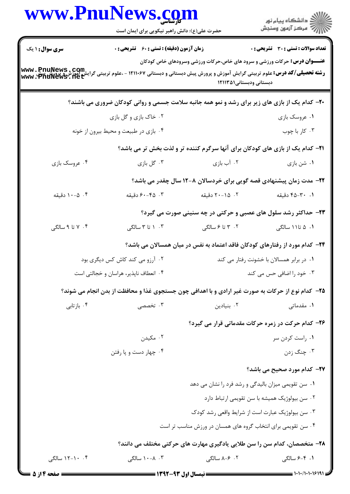|                                       | www.PnuNews.com<br>حضرت علی(ع): دانش راهبر نیکویی برای ایمان است                                                                                                                                                                       |                                                                                                            | ِ<br>∭ دانشڪاه پيام نور<br>∭ مرڪز آزمون وسنڊش     |
|---------------------------------------|----------------------------------------------------------------------------------------------------------------------------------------------------------------------------------------------------------------------------------------|------------------------------------------------------------------------------------------------------------|---------------------------------------------------|
| <b>سری سوال :</b> ۱ یک                | زمان آزمون (دقیقه) : تستی : 60 ٪ تشریحی : 0                                                                                                                                                                                            |                                                                                                            | <b>تعداد سوالات : تستی : 30 ٪ تشریحی : 0</b>      |
|                                       | ر کے کرنے کے کلومی کے کالوگری کے کالوگری کے کالوگری کے کالوگری کے استانی ۱۲۱۱۰۶۷ - علوم تربیتی گرایش آموزش کا<br>سام میں مسلمی / <b>کد درس:</b> علوم تربیتی گرایش آموزش و پرورش پیش دبستانی و دبستانی ۱۲۱۱۰۶۷ - ،علوم تربیتی گرایش آمو | <b>عنـــوان درس:</b> حرکات ورزشی و سرود های خاص،حرکات ورزشی وسرودهای خاص کودکان<br>دبستانی ودبستانی۱۲۱۱۳۵۱ |                                                   |
|                                       | <b>۲۰</b> - کدام یک از بازی های زیر برای رشد و نمو همه جانبه سلامت جسمی و روانی کودکان ضروری می باشند؟                                                                                                                                 |                                                                                                            |                                                   |
|                                       | ۰۲ خاک بازی و گل بازی                                                                                                                                                                                                                  |                                                                                                            | ۰۱ عروسک بازی                                     |
|                                       | ۰۴ بازی در طبیعت و محیط بیرون از خونه                                                                                                                                                                                                  |                                                                                                            | ۰۳ کار با چوب                                     |
|                                       |                                                                                                                                                                                                                                        | <b>۲۱</b> - کدام یک از بازی های کودکان برای آنها سرگرم کننده تر و لذت بخش تر می باشد؟                      |                                                   |
| ۰۴ عروسک بازی                         | ۰۳ گل بازی                                                                                                                                                                                                                             | ۰۲ آب بازی                                                                                                 | ۰۱ شن بازی                                        |
|                                       |                                                                                                                                                                                                                                        | ۲۲- مدت زمان پیشنهادی قصه گویی برای خردسالان ۸-۱۲ سال چقدر می باشد؟                                        |                                                   |
| ۰۴ - ۱۰-۵ دقیقه                       | ۰۳ - ۶۰–۶۰ دقیقه                                                                                                                                                                                                                       | ۰۲ ـ ۲۰–۲۰ دقیقه                                                                                           | ۰۱ - ۴۵-۴۵ دقیقه                                  |
|                                       |                                                                                                                                                                                                                                        | ۲۳- حداکثر رشد سلول های عصبی و حرکتی در چه سنینی صورت می گیرد؟                                             |                                                   |
| ۰۴ تا ۹ سالگی                         | ۰۳ ۱ تا ۳ سالگی                                                                                                                                                                                                                        | ۲. ۳ تا ۶ سالگی                                                                                            | ۰۱ ۵ تا۱۱ سالگی                                   |
|                                       |                                                                                                                                                                                                                                        | ۲۴– کدام مورد از رفتارهای کودکان فاقد اعتماد به نفس در میان همسالان می باشد؟                               |                                                   |
|                                       | ۰۲ آرزو می کند کاش کس دیگری بود                                                                                                                                                                                                        |                                                                                                            | ۰۱ در برابر همسالان با خشونت رفتار می کند         |
| ۰۴ انعطاف ناپذیر، هراسان و خجالتی است |                                                                                                                                                                                                                                        | ۰۳ خود را اضافی حس می کند                                                                                  |                                                   |
|                                       | ۲۵- کدام نوع از حرکات به صورت غیر ارادی و با اهدافی چون جستجوی غذا و محافظت از بدن انجام می شوند؟                                                                                                                                      |                                                                                                            |                                                   |
| ۰۴ بازتابی                            | ۰۳ تخصصی                                                                                                                                                                                                                               | ۰۲ بنیادین                                                                                                 | <b>۱.</b> مقدماتی                                 |
|                                       |                                                                                                                                                                                                                                        |                                                                                                            | ۲۶- کدام حرکت در زمره حرکات مقدماتی قرار می گیرد؟ |
|                                       | ۰۲ مکیدن                                                                                                                                                                                                                               |                                                                                                            | ۰۱ راست کردن سر                                   |
|                                       | ۰۴ چهار دست و پا رفتن                                                                                                                                                                                                                  |                                                                                                            | ۰۳ چنگ زدن                                        |
|                                       |                                                                                                                                                                                                                                        |                                                                                                            | <b>۲۷- کدام مورد صحیح می باشد؟</b>                |
|                                       | ٠١ سن تقويمي ميزان باليدگي و رشد فرد را نشان مي دهد                                                                                                                                                                                    |                                                                                                            |                                                   |
|                                       | ۰۲ سن بیولوژیک همیشه با سن تقویمی ارتباط دارد                                                                                                                                                                                          |                                                                                                            |                                                   |
|                                       |                                                                                                                                                                                                                                        | ۰۳ سن بیولوژیک عبارت است از شرایط واقعی رشد کودک                                                           |                                                   |
|                                       |                                                                                                                                                                                                                                        | ۰۴ سن تقویمی برای انتخاب گروه های همسان در ورزش مناسب تر است                                               |                                                   |
|                                       |                                                                                                                                                                                                                                        | ۲۸- متخصصان، کدام سن را سن طلایی یادگیری مهارت های حرکتی مختلف می دانند؟                                   |                                                   |
| ۰.۴ - ۱۲-۱۲ سالگی                     | ۰۳ ۸–۱۰ سالگی                                                                                                                                                                                                                          | ۲.  ۶–۸ سالگی                                                                                              | ۰۱. ۴–۶ سالگی                                     |